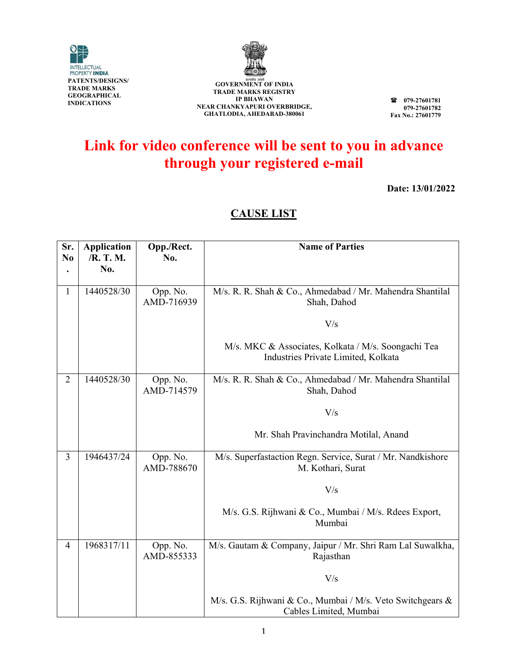



**GOVERNMENT OF INDIA TRADE MARKS REGIS STRY I IP BHAWAN NEAR CHANK KYAPURI OVE ERBRIDGE, GHATLOD DIA, AHEDABAD D-380061**

**07 79-27601781 07 79-27601782**  Fax No.: 27601779

## Link for video conference will be sent to you in advance **through your registered e-mail**

**Date: : 13/01/202 2** 

### **C CAUSE LI IST**

| Sr.            | <b>Application</b><br>/R. T. M. | Opp./Rect.<br>No.      | <b>Name of Parties</b>                                                                     |
|----------------|---------------------------------|------------------------|--------------------------------------------------------------------------------------------|
| N <sub>0</sub> | No.                             |                        |                                                                                            |
| 1              | 1440528/30                      | Opp. No.<br>AMD-716939 | M/s. R. R. Shah & Co., Ahmedabad / Mr. Mahendra Shantilal<br>Shah, Dahod                   |
|                |                                 |                        | V/s                                                                                        |
|                |                                 |                        | M/s. MKC & Associates, Kolkata / M/s. Soongachi Tea<br>Industries Private Limited, Kolkata |
| $\overline{2}$ | 1440528/30                      | Opp. No.<br>AMD-714579 | M/s. R. R. Shah & Co., Ahmedabad / Mr. Mahendra Shantilal<br>Shah, Dahod                   |
|                |                                 |                        | V/s                                                                                        |
|                |                                 |                        | Mr. Shah Pravinchandra Motilal, Anand                                                      |
| $\overline{3}$ | 1946437/24                      | Opp. No.<br>AMD-788670 | M/s. Superfastaction Regn. Service, Surat / Mr. Nandkishore<br>M. Kothari, Surat           |
|                |                                 |                        | V/s                                                                                        |
|                |                                 |                        | M/s. G.S. Rijhwani & Co., Mumbai / M/s. Rdees Export,<br>Mumbai                            |
| $\overline{4}$ | 1968317/11                      | Opp. No.<br>AMD-855333 | M/s. Gautam & Company, Jaipur / Mr. Shri Ram Lal Suwalkha,<br>Rajasthan                    |
|                |                                 |                        | V/s                                                                                        |
|                |                                 |                        | M/s. G.S. Rijhwani & Co., Mumbai / M/s. Veto Switchgears &<br>Cables Limited, Mumbai       |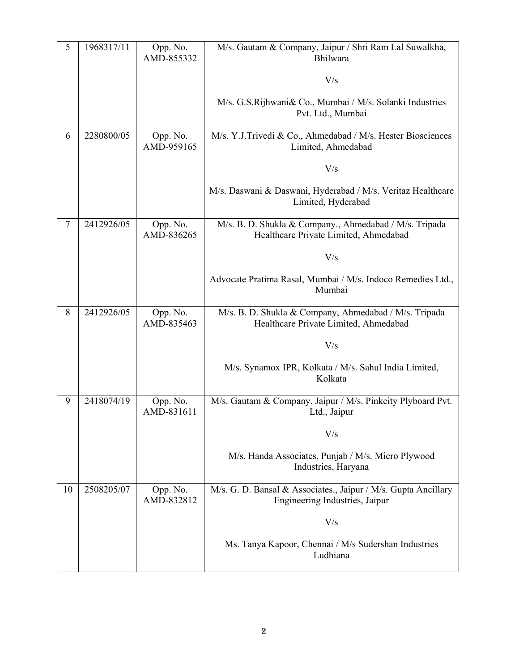| 5  | 1968317/11 | Opp. No.<br>AMD-855332 | M/s. Gautam & Company, Jaipur / Shri Ram Lal Suwalkha,<br>Bhilwara                               |
|----|------------|------------------------|--------------------------------------------------------------------------------------------------|
|    |            |                        | V/s                                                                                              |
|    |            |                        | M/s. G.S.Rijhwani& Co., Mumbai / M/s. Solanki Industries<br>Pvt. Ltd., Mumbai                    |
| 6  | 2280800/05 | Opp. No.<br>AMD-959165 | M/s. Y.J.Trivedi & Co., Ahmedabad / M/s. Hester Biosciences<br>Limited, Ahmedabad                |
|    |            |                        | V/s                                                                                              |
|    |            |                        | M/s. Daswani & Daswani, Hyderabad / M/s. Veritaz Healthcare<br>Limited, Hyderabad                |
| 7  | 2412926/05 | Opp. No.<br>AMD-836265 | M/s. B. D. Shukla & Company., Ahmedabad / M/s. Tripada<br>Healthcare Private Limited, Ahmedabad  |
|    |            |                        | V/s                                                                                              |
|    |            |                        | Advocate Pratima Rasal, Mumbai / M/s. Indoco Remedies Ltd.,<br>Mumbai                            |
| 8  | 2412926/05 | Opp. No.<br>AMD-835463 | M/s. B. D. Shukla & Company, Ahmedabad / M/s. Tripada<br>Healthcare Private Limited, Ahmedabad   |
|    |            |                        | V/s                                                                                              |
|    |            |                        | M/s. Synamox IPR, Kolkata / M/s. Sahul India Limited,<br>Kolkata                                 |
| 9  | 2418074/19 | Opp. No.<br>AMD-831611 | M/s. Gautam & Company, Jaipur / M/s. Pinkcity Plyboard Pvt.<br>Ltd., Jaipur                      |
|    |            |                        | V/s                                                                                              |
|    |            |                        | M/s. Handa Associates, Punjab / M/s. Micro Plywood<br>Industries, Haryana                        |
| 10 | 2508205/07 | Opp. No.<br>AMD-832812 | M/s. G. D. Bansal & Associates., Jaipur / M/s. Gupta Ancillary<br>Engineering Industries, Jaipur |
|    |            |                        | V/s                                                                                              |
|    |            |                        | Ms. Tanya Kapoor, Chennai / M/s Sudershan Industries<br>Ludhiana                                 |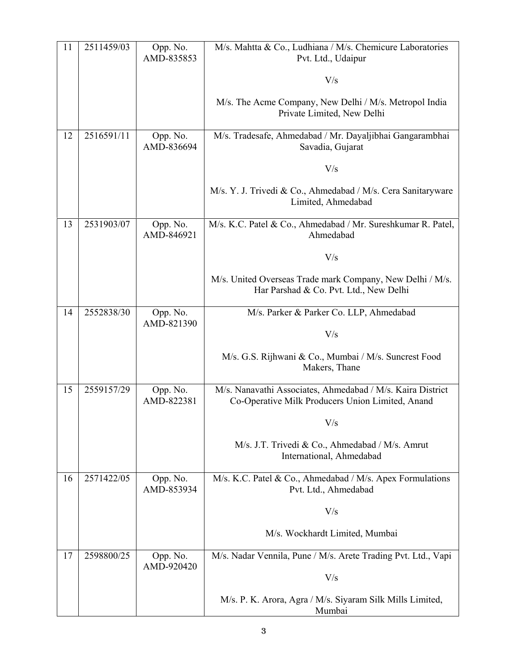| 11 | 2511459/03 | Opp. No.<br>AMD-835853 | M/s. Mahtta & Co., Ludhiana / M/s. Chemicure Laboratories<br>Pvt. Ltd., Udaipur                                |
|----|------------|------------------------|----------------------------------------------------------------------------------------------------------------|
|    |            |                        | V/s                                                                                                            |
|    |            |                        | M/s. The Acme Company, New Delhi / M/s. Metropol India<br>Private Limited, New Delhi                           |
| 12 | 2516591/11 | Opp. No.<br>AMD-836694 | M/s. Tradesafe, Ahmedabad / Mr. Dayaljibhai Gangarambhai<br>Savadia, Gujarat                                   |
|    |            |                        | V/s                                                                                                            |
|    |            |                        | M/s. Y. J. Trivedi & Co., Ahmedabad / M/s. Cera Sanitaryware<br>Limited, Ahmedabad                             |
| 13 | 2531903/07 | Opp. No.<br>AMD-846921 | M/s. K.C. Patel & Co., Ahmedabad / Mr. Sureshkumar R. Patel,<br>Ahmedabad                                      |
|    |            |                        | V/s                                                                                                            |
|    |            |                        | M/s. United Overseas Trade mark Company, New Delhi / M/s.<br>Har Parshad & Co. Pvt. Ltd., New Delhi            |
| 14 | 2552838/30 | Opp. No.<br>AMD-821390 | M/s. Parker & Parker Co. LLP, Ahmedabad                                                                        |
|    |            |                        | V/s                                                                                                            |
|    |            |                        | M/s. G.S. Rijhwani & Co., Mumbai / M/s. Suncrest Food<br>Makers, Thane                                         |
| 15 | 2559157/29 | Opp. No.<br>AMD-822381 | M/s. Nanavathi Associates, Ahmedabad / M/s. Kaira District<br>Co-Operative Milk Producers Union Limited, Anand |
|    |            |                        | V/s                                                                                                            |
|    |            |                        | M/s. J.T. Trivedi & Co., Ahmedabad / M/s. Amrut<br>International, Ahmedabad                                    |
| 16 | 2571422/05 | Opp. No.<br>AMD-853934 | M/s. K.C. Patel & Co., Ahmedabad / M/s. Apex Formulations<br>Pvt. Ltd., Ahmedabad                              |
|    |            |                        | V/s                                                                                                            |
|    |            |                        | M/s. Wockhardt Limited, Mumbai                                                                                 |
| 17 | 2598800/25 | Opp. No.<br>AMD-920420 | M/s. Nadar Vennila, Pune / M/s. Arete Trading Pvt. Ltd., Vapi                                                  |
|    |            |                        | V/s                                                                                                            |
|    |            |                        | M/s. P. K. Arora, Agra / M/s. Siyaram Silk Mills Limited,<br>Mumbai                                            |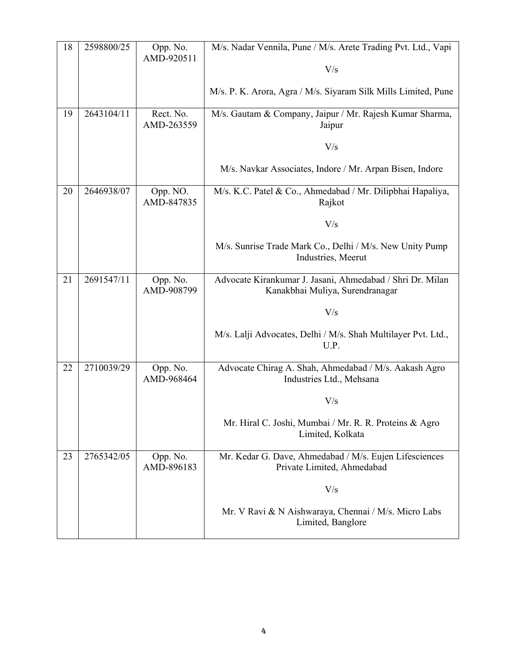| 18 | 2598800/25 | Opp. No.<br>AMD-920511  | M/s. Nadar Vennila, Pune / M/s. Arete Trading Pvt. Ltd., Vapi                                |
|----|------------|-------------------------|----------------------------------------------------------------------------------------------|
|    |            |                         | V/s                                                                                          |
|    |            |                         | M/s. P. K. Arora, Agra / M/s. Siyaram Silk Mills Limited, Pune                               |
| 19 | 2643104/11 | Rect. No.<br>AMD-263559 | M/s. Gautam & Company, Jaipur / Mr. Rajesh Kumar Sharma,<br>Jaipur                           |
|    |            |                         | V/s                                                                                          |
|    |            |                         | M/s. Navkar Associates, Indore / Mr. Arpan Bisen, Indore                                     |
| 20 | 2646938/07 | Opp. NO.<br>AMD-847835  | M/s. K.C. Patel & Co., Ahmedabad / Mr. Dilipbhai Hapaliya,<br>Rajkot                         |
|    |            |                         | V/s                                                                                          |
|    |            |                         | M/s. Sunrise Trade Mark Co., Delhi / M/s. New Unity Pump<br>Industries, Meerut               |
| 21 | 2691547/11 | Opp. No.<br>AMD-908799  | Advocate Kirankumar J. Jasani, Ahmedabad / Shri Dr. Milan<br>Kanakbhai Muliya, Surendranagar |
|    |            |                         | V/s                                                                                          |
|    |            |                         | M/s. Lalji Advocates, Delhi / M/s. Shah Multilayer Pvt. Ltd.,<br>U.P.                        |
| 22 | 2710039/29 | Opp. No.<br>AMD-968464  | Advocate Chirag A. Shah, Ahmedabad / M/s. Aakash Agro<br>Industries Ltd., Mehsana            |
|    |            |                         | V/s                                                                                          |
|    |            |                         | Mr. Hiral C. Joshi, Mumbai / Mr. R. R. Proteins & Agro<br>Limited, Kolkata                   |
| 23 | 2765342/05 | Opp. No.<br>AMD-896183  | Mr. Kedar G. Dave, Ahmedabad / M/s. Eujen Lifesciences<br>Private Limited, Ahmedabad         |
|    |            |                         | V/s                                                                                          |
|    |            |                         | Mr. V Ravi & N Aishwaraya, Chennai / M/s. Micro Labs<br>Limited, Banglore                    |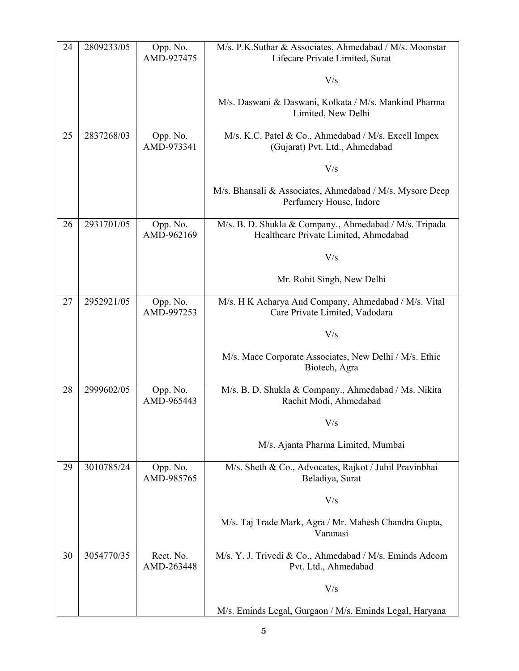| 24 | 2809233/05 | Opp. No.<br>AMD-927475  | M/s. P.K.Suthar & Associates, Ahmedabad / M/s. Moonstar<br>Lifecare Private Limited, Surat      |
|----|------------|-------------------------|-------------------------------------------------------------------------------------------------|
|    |            |                         | V/s                                                                                             |
|    |            |                         | M/s. Daswani & Daswani, Kolkata / M/s. Mankind Pharma<br>Limited, New Delhi                     |
| 25 | 2837268/03 | Opp. No.<br>AMD-973341  | M/s. K.C. Patel & Co., Ahmedabad / M/s. Excell Impex<br>(Gujarat) Pvt. Ltd., Ahmedabad          |
|    |            |                         | V/s                                                                                             |
|    |            |                         | M/s. Bhansali & Associates, Ahmedabad / M/s. Mysore Deep<br>Perfumery House, Indore             |
| 26 | 2931701/05 | Opp. No.<br>AMD-962169  | M/s. B. D. Shukla & Company., Ahmedabad / M/s. Tripada<br>Healthcare Private Limited, Ahmedabad |
|    |            |                         | V/s                                                                                             |
|    |            |                         | Mr. Rohit Singh, New Delhi                                                                      |
| 27 | 2952921/05 | Opp. No.<br>AMD-997253  | M/s. H K Acharya And Company, Ahmedabad / M/s. Vital<br>Care Private Limited, Vadodara          |
|    |            |                         | V/s                                                                                             |
|    |            |                         | M/s. Mace Corporate Associates, New Delhi / M/s. Ethic<br>Biotech, Agra                         |
| 28 | 2999602/05 | Opp. No.<br>AMD-965443  | M/s. B. D. Shukla & Company., Ahmedabad / Ms. Nikita<br>Rachit Modi, Ahmedabad                  |
|    |            |                         | V/s                                                                                             |
|    |            |                         | M/s. Ajanta Pharma Limited, Mumbai                                                              |
| 29 | 3010785/24 | Opp. No.<br>AMD-985765  | M/s. Sheth & Co., Advocates, Rajkot / Juhil Pravinbhai<br>Beladiya, Surat                       |
|    |            |                         | V/s                                                                                             |
|    |            |                         | M/s. Taj Trade Mark, Agra / Mr. Mahesh Chandra Gupta,<br>Varanasi                               |
| 30 | 3054770/35 | Rect. No.<br>AMD-263448 | M/s. Y. J. Trivedi & Co., Ahmedabad / M/s. Eminds Adcom<br>Pvt. Ltd., Ahmedabad                 |
|    |            |                         | V/s                                                                                             |
|    |            |                         | M/s. Eminds Legal, Gurgaon / M/s. Eminds Legal, Haryana                                         |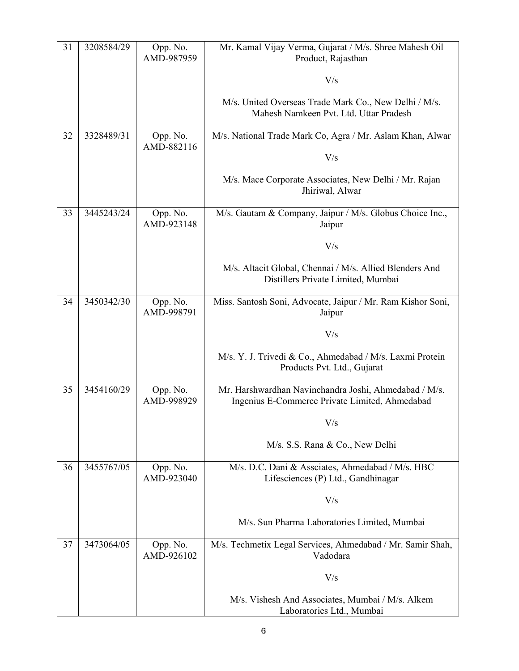| 31 | 3208584/29 | Opp. No.<br>AMD-987959 | Mr. Kamal Vijay Verma, Gujarat / M/s. Shree Mahesh Oil<br>Product, Rajasthan                            |
|----|------------|------------------------|---------------------------------------------------------------------------------------------------------|
|    |            |                        | V/s                                                                                                     |
|    |            |                        | M/s. United Overseas Trade Mark Co., New Delhi / M/s.<br>Mahesh Namkeen Pvt. Ltd. Uttar Pradesh         |
| 32 | 3328489/31 | Opp. No.<br>AMD-882116 | M/s. National Trade Mark Co, Agra / Mr. Aslam Khan, Alwar                                               |
|    |            |                        | V/s                                                                                                     |
|    |            |                        | M/s. Mace Corporate Associates, New Delhi / Mr. Rajan<br>Jhiriwal, Alwar                                |
| 33 | 3445243/24 | Opp. No.<br>AMD-923148 | M/s. Gautam & Company, Jaipur / M/s. Globus Choice Inc.,<br>Jaipur                                      |
|    |            |                        | V/s                                                                                                     |
|    |            |                        | M/s. Altacit Global, Chennai / M/s. Allied Blenders And<br>Distillers Private Limited, Mumbai           |
| 34 | 3450342/30 | Opp. No.<br>AMD-998791 | Miss. Santosh Soni, Advocate, Jaipur / Mr. Ram Kishor Soni,<br>Jaipur                                   |
|    |            |                        | V/s                                                                                                     |
|    |            |                        | M/s. Y. J. Trivedi & Co., Ahmedabad / M/s. Laxmi Protein<br>Products Pvt. Ltd., Gujarat                 |
| 35 | 3454160/29 | Opp. No.<br>AMD-998929 | Mr. Harshwardhan Navinchandra Joshi, Ahmedabad / M/s.<br>Ingenius E-Commerce Private Limited, Ahmedabad |
|    |            |                        | $\rm V/s$                                                                                               |
|    |            |                        | M/s. S.S. Rana & Co., New Delhi                                                                         |
| 36 | 3455767/05 | Opp. No.<br>AMD-923040 | M/s. D.C. Dani & Assciates, Ahmedabad / M/s. HBC<br>Lifesciences (P) Ltd., Gandhinagar                  |
|    |            |                        | V/s                                                                                                     |
|    |            |                        | M/s. Sun Pharma Laboratories Limited, Mumbai                                                            |
| 37 | 3473064/05 | Opp. No.<br>AMD-926102 | M/s. Techmetix Legal Services, Ahmedabad / Mr. Samir Shah,<br>Vadodara                                  |
|    |            |                        | V/s                                                                                                     |
|    |            |                        | M/s. Vishesh And Associates, Mumbai / M/s. Alkem<br>Laboratories Ltd., Mumbai                           |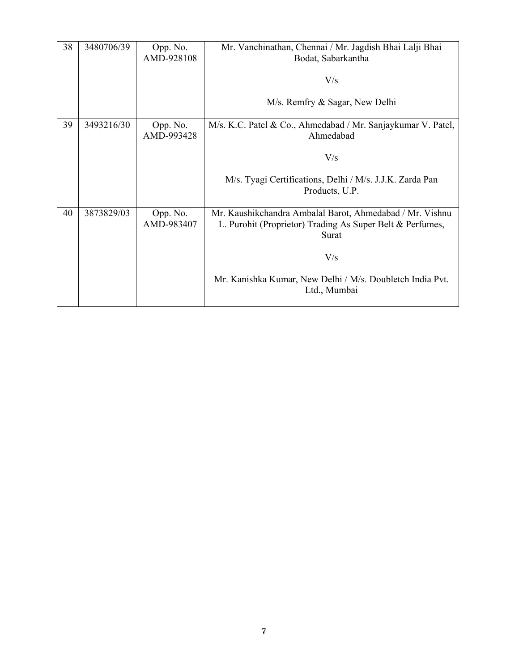| 38 | 3480706/39 | Opp. No.               | Mr. Vanchinathan, Chennai / Mr. Jagdish Bhai Lalji Bhai                                                                        |
|----|------------|------------------------|--------------------------------------------------------------------------------------------------------------------------------|
|    |            | AMD-928108             | Bodat, Sabarkantha                                                                                                             |
|    |            |                        | V/s                                                                                                                            |
|    |            |                        | M/s. Remfry & Sagar, New Delhi                                                                                                 |
| 39 | 3493216/30 | Opp. No.<br>AMD-993428 | M/s. K.C. Patel & Co., Ahmedabad / Mr. Sanjaykumar V. Patel,<br>Ahmedabad                                                      |
|    |            |                        | V/s                                                                                                                            |
|    |            |                        | M/s. Tyagi Certifications, Delhi / M/s. J.J.K. Zarda Pan<br>Products, U.P.                                                     |
|    |            |                        |                                                                                                                                |
| 40 | 3873829/03 | Opp. No.<br>AMD-983407 | Mr. Kaushikchandra Ambalal Barot, Ahmedabad / Mr. Vishnu<br>L. Purohit (Proprietor) Trading As Super Belt & Perfumes,<br>Surat |
|    |            |                        | V/s                                                                                                                            |
|    |            |                        | Mr. Kanishka Kumar, New Delhi / M/s. Doubletch India Pvt.<br>Ltd., Mumbai                                                      |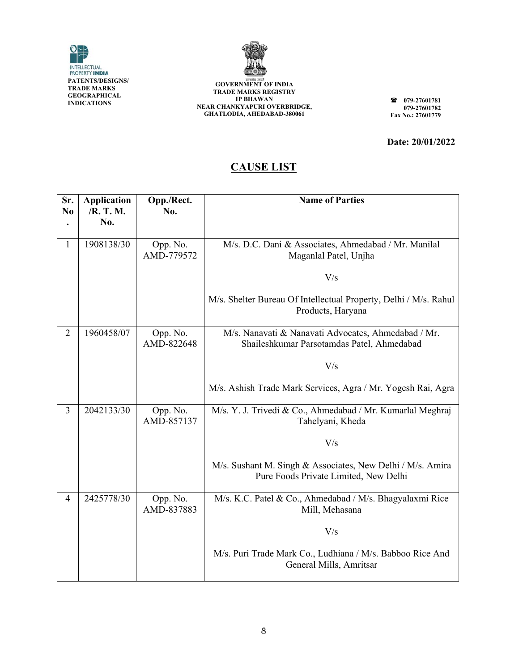



**GOVERNMENT OF INDIA TRADE MARKS REGIS STRY I NEAR CHANK GHATLOD DIA, AHEDABAD D-380061 IP BHAWAN KYAPURI OVE ERBRIDGE,** 

**07 07** Fax No.: 27601779 **79-27601781 79-27601782** 

**Date: : 20/01/202 2** 

#### **C CAUSE LI IST**

| Sr.<br>N <sub>0</sub> | <b>Application</b><br>/R. T. M.<br>No. | Opp./Rect.<br>No.      | <b>Name of Parties</b>                                                                              |
|-----------------------|----------------------------------------|------------------------|-----------------------------------------------------------------------------------------------------|
| $\mathbf{1}$          | 1908138/30                             | Opp. No.<br>AMD-779572 | M/s. D.C. Dani & Associates, Ahmedabad / Mr. Manilal<br>Maganlal Patel, Unjha                       |
|                       |                                        |                        | V/s                                                                                                 |
|                       |                                        |                        | M/s. Shelter Bureau Of Intellectual Property, Delhi / M/s. Rahul<br>Products, Haryana               |
| $\overline{2}$        | 1960458/07                             | Opp. No.<br>AMD-822648 | M/s. Nanavati & Nanavati Advocates, Ahmedabad / Mr.<br>Shaileshkumar Parsotamdas Patel, Ahmedabad   |
|                       |                                        |                        | V/s                                                                                                 |
|                       |                                        |                        | M/s. Ashish Trade Mark Services, Agra / Mr. Yogesh Rai, Agra                                        |
| 3                     | 2042133/30                             | Opp. No.<br>AMD-857137 | M/s. Y. J. Trivedi & Co., Ahmedabad / Mr. Kumarlal Meghraj<br>Tahelyani, Kheda                      |
|                       |                                        |                        | V/s                                                                                                 |
|                       |                                        |                        | M/s. Sushant M. Singh & Associates, New Delhi / M/s. Amira<br>Pure Foods Private Limited, New Delhi |
| $\overline{4}$        | 2425778/30                             | Opp. No.<br>AMD-837883 | M/s. K.C. Patel & Co., Ahmedabad / M/s. Bhagyalaxmi Rice<br>Mill, Mehasana                          |
|                       |                                        |                        | V/s                                                                                                 |
|                       |                                        |                        | M/s. Puri Trade Mark Co., Ludhiana / M/s. Babboo Rice And<br>General Mills, Amritsar                |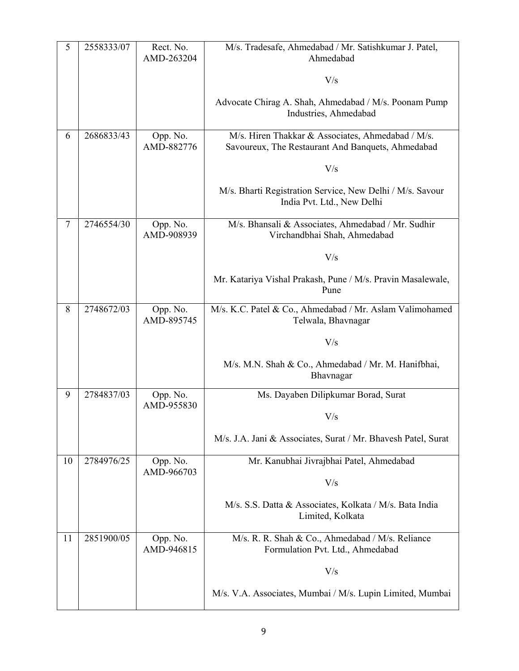| 5  | 2558333/07 | Rect. No.<br>AMD-263204 | M/s. Tradesafe, Ahmedabad / Mr. Satishkumar J. Patel,<br>Ahmedabad                                     |
|----|------------|-------------------------|--------------------------------------------------------------------------------------------------------|
|    |            |                         | V/s                                                                                                    |
|    |            |                         | Advocate Chirag A. Shah, Ahmedabad / M/s. Poonam Pump<br>Industries, Ahmedabad                         |
| 6  | 2686833/43 | Opp. No.<br>AMD-882776  | M/s. Hiren Thakkar & Associates, Ahmedabad / M/s.<br>Savoureux, The Restaurant And Banquets, Ahmedabad |
|    |            |                         | V/s                                                                                                    |
|    |            |                         | M/s. Bharti Registration Service, New Delhi / M/s. Savour<br>India Pvt. Ltd., New Delhi                |
| 7  | 2746554/30 | Opp. No.<br>AMD-908939  | M/s. Bhansali & Associates, Ahmedabad / Mr. Sudhir<br>Virchandbhai Shah, Ahmedabad                     |
|    |            |                         | V/s                                                                                                    |
|    |            |                         | Mr. Katariya Vishal Prakash, Pune / M/s. Pravin Masalewale,<br>Pune                                    |
| 8  | 2748672/03 | Opp. No.<br>AMD-895745  | M/s. K.C. Patel & Co., Ahmedabad / Mr. Aslam Valimohamed<br>Telwala, Bhavnagar                         |
|    |            |                         | V/s                                                                                                    |
|    |            |                         | M/s. M.N. Shah & Co., Ahmedabad / Mr. M. Hanifbhai,<br>Bhavnagar                                       |
| 9  | 2784837/03 | Opp. No.<br>AMD-955830  | Ms. Dayaben Dilipkumar Borad, Surat                                                                    |
|    |            |                         | V/s                                                                                                    |
|    |            |                         | M/s. J.A. Jani & Associates, Surat / Mr. Bhavesh Patel, Surat                                          |
| 10 | 2784976/25 | Opp. No.<br>AMD-966703  | Mr. Kanubhai Jivrajbhai Patel, Ahmedabad                                                               |
|    |            |                         | V/s                                                                                                    |
|    |            |                         | M/s. S.S. Datta & Associates, Kolkata / M/s. Bata India<br>Limited, Kolkata                            |
| 11 | 2851900/05 | Opp. No.<br>AMD-946815  | M/s. R. R. Shah & Co., Ahmedabad / M/s. Reliance<br>Formulation Pvt. Ltd., Ahmedabad                   |
|    |            |                         | V/s                                                                                                    |
|    |            |                         | M/s. V.A. Associates, Mumbai / M/s. Lupin Limited, Mumbai                                              |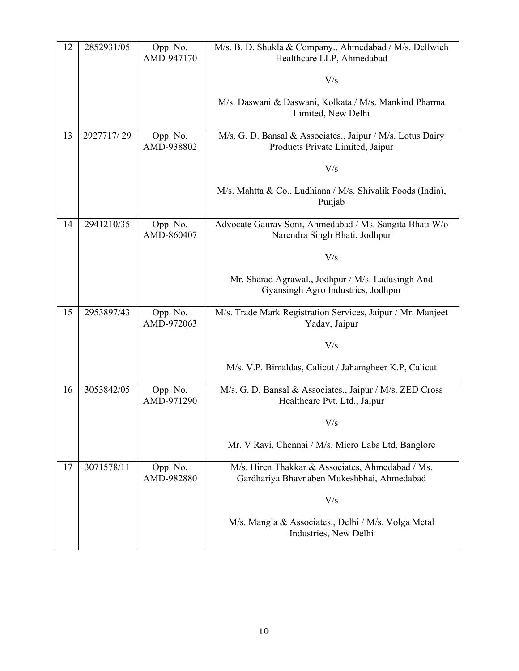| 12 | 2852931/05 | Opp. No.<br>AMD-947170 | M/s. B. D. Shukla & Company., Ahmedabad / M/s. Dellwich<br>Healthcare LLP, Ahmedabad           |
|----|------------|------------------------|------------------------------------------------------------------------------------------------|
|    |            |                        | V/s                                                                                            |
|    |            |                        | M/s. Daswani & Daswani, Kolkata / M/s. Mankind Pharma<br>Limited, New Delhi                    |
| 13 | 2927717/29 | Opp. No.<br>AMD-938802 | M/s. G. D. Bansal & Associates., Jaipur / M/s. Lotus Dairy<br>Products Private Limited, Jaipur |
|    |            |                        | V/s                                                                                            |
|    |            |                        | M/s. Mahtta & Co., Ludhiana / M/s. Shivalik Foods (India),<br>Punjab                           |
| 14 | 2941210/35 | Opp. No.<br>AMD-860407 | Advocate Gaurav Soni, Ahmedabad / Ms. Sangita Bhati W/o<br>Narendra Singh Bhati, Jodhpur       |
|    |            |                        | V/s                                                                                            |
|    |            |                        | Mr. Sharad Agrawal., Jodhpur / M/s. Ladusingh And<br>Gyansingh Agro Industries, Jodhpur        |
| 15 | 2953897/43 | Opp. No.<br>AMD-972063 | M/s. Trade Mark Registration Services, Jaipur / Mr. Manjeet<br>Yadav, Jaipur                   |
|    |            |                        | V/s                                                                                            |
|    |            |                        | M/s. V.P. Bimaldas, Calicut / Jahamgheer K.P, Calicut                                          |
| 16 | 3053842/05 | Opp. No.<br>AMD-971290 | M/s. G. D. Bansal & Associates., Jaipur / M/s. ZED Cross<br>Healthcare Pvt. Ltd., Jaipur       |
|    |            |                        | V/s                                                                                            |
|    |            |                        | Mr. V Ravi, Chennai / M/s. Micro Labs Ltd, Banglore                                            |
| 17 | 3071578/11 | Opp. No.<br>AMD-982880 | M/s. Hiren Thakkar & Associates, Ahmedabad / Ms.<br>Gardhariya Bhavnaben Mukeshbhai, Ahmedabad |
|    |            |                        | V/s                                                                                            |
|    |            |                        | M/s. Mangla & Associates., Delhi / M/s. Volga Metal<br>Industries, New Delhi                   |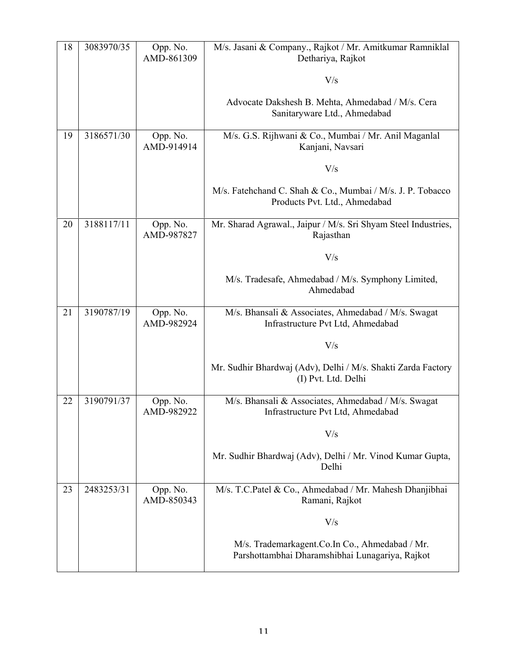| 18 | 3083970/35 | Opp. No.<br>AMD-861309 | M/s. Jasani & Company., Rajkot / Mr. Amitkumar Ramniklal<br>Dethariya, Rajkot                     |
|----|------------|------------------------|---------------------------------------------------------------------------------------------------|
|    |            |                        | V/s                                                                                               |
|    |            |                        | Advocate Dakshesh B. Mehta, Ahmedabad / M/s. Cera<br>Sanitaryware Ltd., Ahmedabad                 |
| 19 | 3186571/30 | Opp. No.<br>AMD-914914 | M/s. G.S. Rijhwani & Co., Mumbai / Mr. Anil Maganlal<br>Kanjani, Navsari                          |
|    |            |                        | V/s                                                                                               |
|    |            |                        | M/s. Fatehchand C. Shah & Co., Mumbai / M/s. J. P. Tobacco<br>Products Pvt. Ltd., Ahmedabad       |
| 20 | 3188117/11 | Opp. No.<br>AMD-987827 | Mr. Sharad Agrawal., Jaipur / M/s. Sri Shyam Steel Industries,<br>Rajasthan                       |
|    |            |                        | V/s                                                                                               |
|    |            |                        | M/s. Tradesafe, Ahmedabad / M/s. Symphony Limited,<br>Ahmedabad                                   |
| 21 | 3190787/19 | Opp. No.<br>AMD-982924 | M/s. Bhansali & Associates, Ahmedabad / M/s. Swagat<br>Infrastructure Pvt Ltd, Ahmedabad          |
|    |            |                        | V/s                                                                                               |
|    |            |                        | Mr. Sudhir Bhardwaj (Adv), Delhi / M/s. Shakti Zarda Factory<br>(I) Pvt. Ltd. Delhi               |
| 22 | 3190791/37 | Opp. No.<br>AMD-982922 | M/s. Bhansali & Associates, Ahmedabad / M/s. Swagat<br>Infrastructure Pvt Ltd, Ahmedabad          |
|    |            |                        | V/s                                                                                               |
|    |            |                        | Mr. Sudhir Bhardwaj (Adv), Delhi / Mr. Vinod Kumar Gupta,<br>Delhi                                |
| 23 | 2483253/31 | Opp. No.<br>AMD-850343 | M/s. T.C.Patel & Co., Ahmedabad / Mr. Mahesh Dhanjibhai<br>Ramani, Rajkot                         |
|    |            |                        | V/s                                                                                               |
|    |            |                        | M/s. Trademarkagent.Co.In Co., Ahmedabad / Mr.<br>Parshottambhai Dharamshibhai Lunagariya, Rajkot |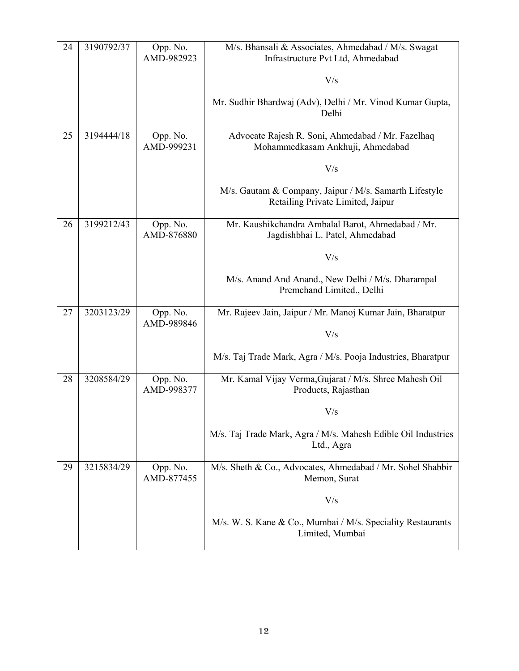| 24 | 3190792/37 | Opp. No.<br>AMD-982923 | M/s. Bhansali & Associates, Ahmedabad / M/s. Swagat<br>Infrastructure Pvt Ltd, Ahmedabad    |
|----|------------|------------------------|---------------------------------------------------------------------------------------------|
|    |            |                        | V/s                                                                                         |
|    |            |                        | Mr. Sudhir Bhardwaj (Adv), Delhi / Mr. Vinod Kumar Gupta,<br>Delhi                          |
| 25 | 3194444/18 | Opp. No.<br>AMD-999231 | Advocate Rajesh R. Soni, Ahmedabad / Mr. Fazelhaq<br>Mohammedkasam Ankhuji, Ahmedabad       |
|    |            |                        | V/s                                                                                         |
|    |            |                        | M/s. Gautam & Company, Jaipur / M/s. Samarth Lifestyle<br>Retailing Private Limited, Jaipur |
| 26 | 3199212/43 | Opp. No.<br>AMD-876880 | Mr. Kaushikchandra Ambalal Barot, Ahmedabad / Mr.<br>Jagdishbhai L. Patel, Ahmedabad        |
|    |            |                        | V/s                                                                                         |
|    |            |                        | M/s. Anand And Anand., New Delhi / M/s. Dharampal<br>Premchand Limited., Delhi              |
| 27 | 3203123/29 | Opp. No.<br>AMD-989846 | Mr. Rajeev Jain, Jaipur / Mr. Manoj Kumar Jain, Bharatpur                                   |
|    |            |                        | V/s                                                                                         |
|    |            |                        | M/s. Taj Trade Mark, Agra / M/s. Pooja Industries, Bharatpur                                |
| 28 | 3208584/29 | Opp. No.<br>AMD-998377 | Mr. Kamal Vijay Verma, Gujarat / M/s. Shree Mahesh Oil<br>Products, Rajasthan               |
|    |            |                        | V/s                                                                                         |
|    |            |                        | M/s. Taj Trade Mark, Agra / M/s. Mahesh Edible Oil Industries<br>Ltd., Agra                 |
| 29 | 3215834/29 | Opp. No.<br>AMD-877455 | M/s. Sheth & Co., Advocates, Ahmedabad / Mr. Sohel Shabbir<br>Memon, Surat                  |
|    |            |                        | V/s                                                                                         |
|    |            |                        | M/s. W. S. Kane & Co., Mumbai / M/s. Speciality Restaurants<br>Limited, Mumbai              |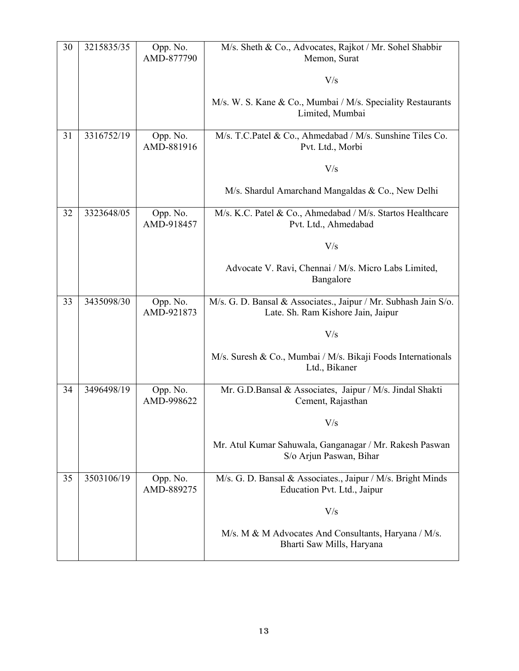| 30 | 3215835/35 | Opp. No.<br>AMD-877790 | M/s. Sheth & Co., Advocates, Rajkot / Mr. Sohel Shabbir<br>Memon, Surat                               |
|----|------------|------------------------|-------------------------------------------------------------------------------------------------------|
|    |            |                        | V/s                                                                                                   |
|    |            |                        | M/s. W. S. Kane & Co., Mumbai / M/s. Speciality Restaurants<br>Limited, Mumbai                        |
|    |            |                        |                                                                                                       |
| 31 | 3316752/19 | Opp. No.<br>AMD-881916 | M/s. T.C.Patel & Co., Ahmedabad / M/s. Sunshine Tiles Co.<br>Pvt. Ltd., Morbi                         |
|    |            |                        | V/s                                                                                                   |
|    |            |                        | M/s. Shardul Amarchand Mangaldas & Co., New Delhi                                                     |
| 32 | 3323648/05 | Opp. No.<br>AMD-918457 | M/s. K.C. Patel & Co., Ahmedabad / M/s. Startos Healthcare<br>Pvt. Ltd., Ahmedabad                    |
|    |            |                        | V/s                                                                                                   |
|    |            |                        | Advocate V. Ravi, Chennai / M/s. Micro Labs Limited,<br>Bangalore                                     |
| 33 | 3435098/30 | Opp. No.<br>AMD-921873 | M/s. G. D. Bansal & Associates., Jaipur / Mr. Subhash Jain S/o.<br>Late. Sh. Ram Kishore Jain, Jaipur |
|    |            |                        | V/s                                                                                                   |
|    |            |                        | M/s. Suresh & Co., Mumbai / M/s. Bikaji Foods Internationals<br>Ltd., Bikaner                         |
| 34 | 3496498/19 | Opp. No.<br>AMD-998622 | Mr. G.D.Bansal & Associates, Jaipur / M/s. Jindal Shakti<br>Cement, Rajasthan                         |
|    |            |                        | $\rm V/s$                                                                                             |
|    |            |                        | Mr. Atul Kumar Sahuwala, Ganganagar / Mr. Rakesh Paswan<br>S/o Arjun Paswan, Bihar                    |
| 35 | 3503106/19 | Opp. No.<br>AMD-889275 | M/s. G. D. Bansal & Associates., Jaipur / M/s. Bright Minds<br>Education Pvt. Ltd., Jaipur            |
|    |            |                        | V/s                                                                                                   |
|    |            |                        | M/s. M & M Advocates And Consultants, Haryana / M/s.<br>Bharti Saw Mills, Haryana                     |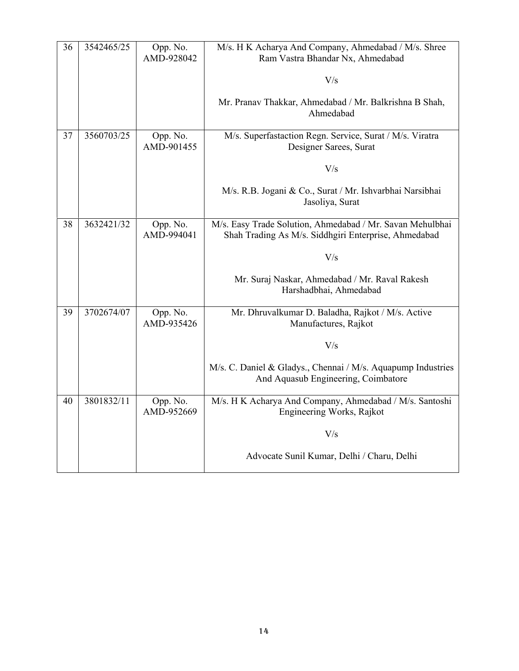| 36 | 3542465/25 | Opp. No.<br>AMD-928042 | M/s. H K Acharya And Company, Ahmedabad / M/s. Shree<br>Ram Vastra Bhandar Nx, Ahmedabad                          |
|----|------------|------------------------|-------------------------------------------------------------------------------------------------------------------|
|    |            |                        | V/s                                                                                                               |
|    |            |                        | Mr. Pranav Thakkar, Ahmedabad / Mr. Balkrishna B Shah,<br>Ahmedabad                                               |
| 37 | 3560703/25 | Opp. No.<br>AMD-901455 | M/s. Superfastaction Regn. Service, Surat / M/s. Viratra<br>Designer Sarees, Surat                                |
|    |            |                        | V/s                                                                                                               |
|    |            |                        | M/s. R.B. Jogani & Co., Surat / Mr. Ishvarbhai Narsibhai<br>Jasoliya, Surat                                       |
| 38 | 3632421/32 | Opp. No.<br>AMD-994041 | M/s. Easy Trade Solution, Ahmedabad / Mr. Savan Mehulbhai<br>Shah Trading As M/s. Siddhgiri Enterprise, Ahmedabad |
|    |            |                        | V/s                                                                                                               |
|    |            |                        | Mr. Suraj Naskar, Ahmedabad / Mr. Raval Rakesh<br>Harshadbhai, Ahmedabad                                          |
| 39 | 3702674/07 | Opp. No.<br>AMD-935426 | Mr. Dhruvalkumar D. Baladha, Rajkot / M/s. Active<br>Manufactures, Rajkot                                         |
|    |            |                        | V/s                                                                                                               |
|    |            |                        | M/s. C. Daniel & Gladys., Chennai / M/s. Aquapump Industries<br>And Aquasub Engineering, Coimbatore               |
| 40 | 3801832/11 | Opp. No.<br>AMD-952669 | M/s. H K Acharya And Company, Ahmedabad / M/s. Santoshi<br>Engineering Works, Rajkot                              |
|    |            |                        | V/s                                                                                                               |
|    |            |                        | Advocate Sunil Kumar, Delhi / Charu, Delhi                                                                        |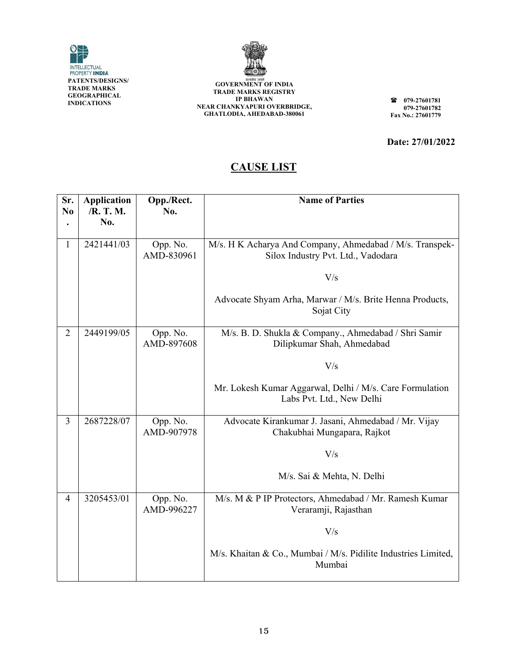



**GOVERNMENT OF INDIA TRADE MARKS REGIS STRY I NEAR CHANK GHATLOD DIA, AHEDABAD D-380061 IP BHAWAN KYAPURI OVE ERBRIDGE,** 

**07 07** Fax No.: 27601779 **79-27601781 79-27601782** 

**Date: : 27/01/202 2** 

#### **C CAUSE LI IST**

| Sr.<br>N <sub>0</sub> | <b>Application</b><br>/R. T. M.<br>No. | Opp./Rect.<br>No.      | <b>Name of Parties</b>                                                                         |
|-----------------------|----------------------------------------|------------------------|------------------------------------------------------------------------------------------------|
| 1                     | 2421441/03                             | Opp. No.<br>AMD-830961 | M/s. H K Acharya And Company, Ahmedabad / M/s. Transpek-<br>Silox Industry Pvt. Ltd., Vadodara |
|                       |                                        |                        | V/s                                                                                            |
|                       |                                        |                        | Advocate Shyam Arha, Marwar / M/s. Brite Henna Products,<br>Sojat City                         |
| $\overline{2}$        | 2449199/05                             | Opp. No.<br>AMD-897608 | M/s. B. D. Shukla & Company., Ahmedabad / Shri Samir<br>Dilipkumar Shah, Ahmedabad             |
|                       |                                        |                        | V/s                                                                                            |
|                       |                                        |                        | Mr. Lokesh Kumar Aggarwal, Delhi / M/s. Care Formulation<br>Labs Pvt. Ltd., New Delhi          |
| 3                     | 2687228/07                             | Opp. No.<br>AMD-907978 | Advocate Kirankumar J. Jasani, Ahmedabad / Mr. Vijay<br>Chakubhai Mungapara, Rajkot            |
|                       |                                        |                        | V/s                                                                                            |
|                       |                                        |                        | M/s. Sai & Mehta, N. Delhi                                                                     |
| 4                     | 3205453/01                             | Opp. No.<br>AMD-996227 | M/s. M & P IP Protectors, Ahmedabad / Mr. Ramesh Kumar<br>Veraramji, Rajasthan                 |
|                       |                                        |                        | V/s                                                                                            |
|                       |                                        |                        | M/s. Khaitan & Co., Mumbai / M/s. Pidilite Industries Limited,<br>Mumbai                       |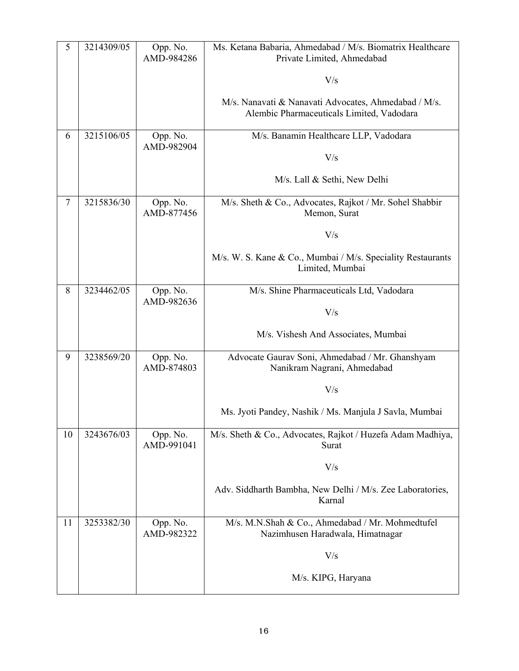| 5  | 3214309/05 | Opp. No.<br>AMD-984286 | Ms. Ketana Babaria, Ahmedabad / M/s. Biomatrix Healthcare<br>Private Limited, Ahmedabad           |
|----|------------|------------------------|---------------------------------------------------------------------------------------------------|
|    |            |                        | V/s                                                                                               |
|    |            |                        | M/s. Nanavati & Nanavati Advocates, Ahmedabad / M/s.<br>Alembic Pharmaceuticals Limited, Vadodara |
| 6  | 3215106/05 | Opp. No.<br>AMD-982904 | M/s. Banamin Healthcare LLP, Vadodara                                                             |
|    |            |                        | V/s                                                                                               |
|    |            |                        | M/s. Lall & Sethi, New Delhi                                                                      |
| 7  | 3215836/30 | Opp. No.<br>AMD-877456 | M/s. Sheth & Co., Advocates, Rajkot / Mr. Sohel Shabbir<br>Memon, Surat                           |
|    |            |                        | V/s                                                                                               |
|    |            |                        | M/s. W. S. Kane & Co., Mumbai / M/s. Speciality Restaurants<br>Limited, Mumbai                    |
| 8  | 3234462/05 | Opp. No.<br>AMD-982636 | M/s. Shine Pharmaceuticals Ltd, Vadodara                                                          |
|    |            |                        | V/s                                                                                               |
|    |            |                        | M/s. Vishesh And Associates, Mumbai                                                               |
| 9  | 3238569/20 | Opp. No.<br>AMD-874803 | Advocate Gaurav Soni, Ahmedabad / Mr. Ghanshyam<br>Nanikram Nagrani, Ahmedabad                    |
|    |            |                        | V/s                                                                                               |
|    |            |                        | Ms. Jyoti Pandey, Nashik / Ms. Manjula J Savla, Mumbai                                            |
| 10 | 3243676/03 | Opp. No.<br>AMD-991041 | M/s. Sheth & Co., Advocates, Rajkot / Huzefa Adam Madhiya,<br>Surat                               |
|    |            |                        | V/s                                                                                               |
|    |            |                        | Adv. Siddharth Bambha, New Delhi / M/s. Zee Laboratories,<br>Karnal                               |
| 11 | 3253382/30 | Opp. No.<br>AMD-982322 | M/s. M.N.Shah & Co., Ahmedabad / Mr. Mohmedtufel<br>Nazimhusen Haradwala, Himatnagar              |
|    |            |                        | V/s                                                                                               |
|    |            |                        | M/s. KIPG, Haryana                                                                                |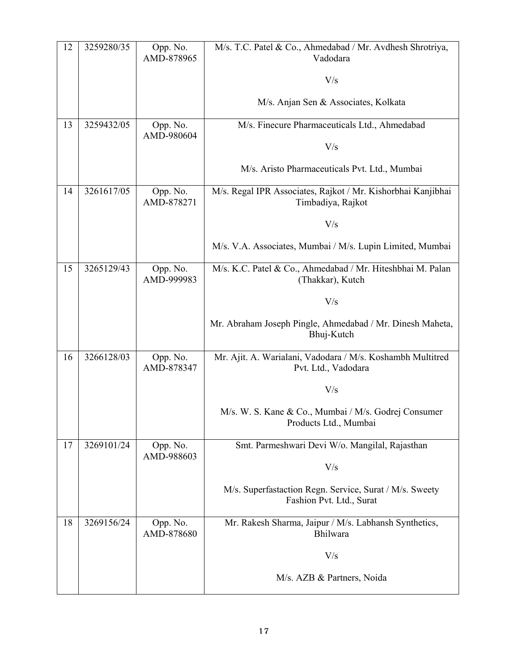| 12 | 3259280/35 | Opp. No.<br>AMD-878965 | M/s. T.C. Patel & Co., Ahmedabad / Mr. Avdhesh Shrotriya,<br>Vadodara               |
|----|------------|------------------------|-------------------------------------------------------------------------------------|
|    |            |                        | V/s                                                                                 |
|    |            |                        | M/s. Anjan Sen & Associates, Kolkata                                                |
| 13 | 3259432/05 | Opp. No.<br>AMD-980604 | M/s. Finecure Pharmaceuticals Ltd., Ahmedabad                                       |
|    |            |                        | V/s                                                                                 |
|    |            |                        | M/s. Aristo Pharmaceuticals Pvt. Ltd., Mumbai                                       |
| 14 | 3261617/05 | Opp. No.<br>AMD-878271 | M/s. Regal IPR Associates, Rajkot / Mr. Kishorbhai Kanjibhai<br>Timbadiya, Rajkot   |
|    |            |                        | V/s                                                                                 |
|    |            |                        | M/s. V.A. Associates, Mumbai / M/s. Lupin Limited, Mumbai                           |
| 15 | 3265129/43 | Opp. No.<br>AMD-999983 | M/s. K.C. Patel & Co., Ahmedabad / Mr. Hiteshbhai M. Palan<br>(Thakkar), Kutch      |
|    |            |                        | V/s                                                                                 |
|    |            |                        | Mr. Abraham Joseph Pingle, Ahmedabad / Mr. Dinesh Maheta,<br>Bhuj-Kutch             |
| 16 | 3266128/03 | Opp. No.<br>AMD-878347 | Mr. Ajit. A. Warialani, Vadodara / M/s. Koshambh Multitred<br>Pvt. Ltd., Vadodara   |
|    |            |                        | V/s                                                                                 |
|    |            |                        | M/s. W. S. Kane & Co., Mumbai / M/s. Godrej Consumer<br>Products Ltd., Mumbai       |
| 17 | 3269101/24 | Opp. No.<br>AMD-988603 | Smt. Parmeshwari Devi W/o. Mangilal, Rajasthan                                      |
|    |            |                        | V/s                                                                                 |
|    |            |                        | M/s. Superfastaction Regn. Service, Surat / M/s. Sweety<br>Fashion Pvt. Ltd., Surat |
| 18 | 3269156/24 | Opp. No.<br>AMD-878680 | Mr. Rakesh Sharma, Jaipur / M/s. Labhansh Synthetics,<br>Bhilwara                   |
|    |            |                        | V/s                                                                                 |
|    |            |                        | M/s. AZB & Partners, Noida                                                          |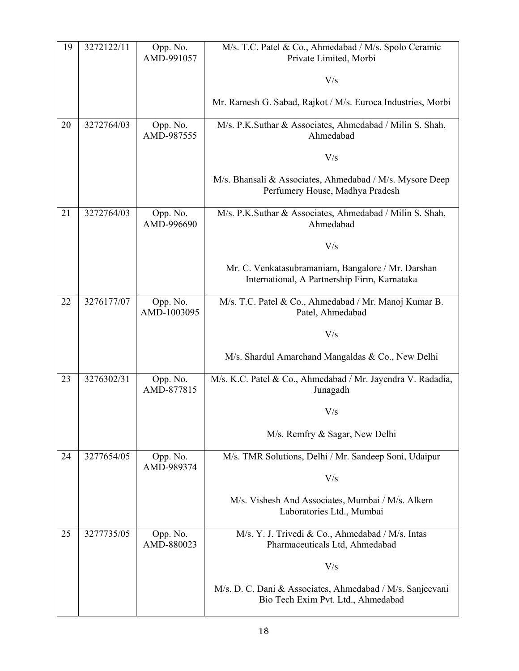| 19 | 3272122/11 | Opp. No.<br>AMD-991057  | M/s. T.C. Patel & Co., Ahmedabad / M/s. Spolo Ceramic<br>Private Limited, Morbi                    |
|----|------------|-------------------------|----------------------------------------------------------------------------------------------------|
|    |            |                         | V/s                                                                                                |
|    |            |                         | Mr. Ramesh G. Sabad, Rajkot / M/s. Euroca Industries, Morbi                                        |
| 20 | 3272764/03 | Opp. No.<br>AMD-987555  | M/s. P.K.Suthar & Associates, Ahmedabad / Milin S. Shah,<br>Ahmedabad                              |
|    |            |                         | V/s                                                                                                |
|    |            |                         | M/s. Bhansali & Associates, Ahmedabad / M/s. Mysore Deep<br>Perfumery House, Madhya Pradesh        |
| 21 | 3272764/03 | Opp. No.<br>AMD-996690  | M/s. P.K.Suthar & Associates, Ahmedabad / Milin S. Shah,<br>Ahmedabad                              |
|    |            |                         | V/s                                                                                                |
|    |            |                         | Mr. C. Venkatasubramaniam, Bangalore / Mr. Darshan<br>International, A Partnership Firm, Karnataka |
| 22 | 3276177/07 | Opp. No.<br>AMD-1003095 | M/s. T.C. Patel & Co., Ahmedabad / Mr. Manoj Kumar B.<br>Patel, Ahmedabad                          |
|    |            |                         | V/s                                                                                                |
|    |            |                         | M/s. Shardul Amarchand Mangaldas & Co., New Delhi                                                  |
| 23 | 3276302/31 | Opp. No.<br>AMD-877815  | M/s. K.C. Patel & Co., Ahmedabad / Mr. Jayendra V. Radadia,<br>Junagadh                            |
|    |            |                         | V/s                                                                                                |
|    |            |                         | M/s. Remfry & Sagar, New Delhi                                                                     |
| 24 | 3277654/05 | Opp. No.<br>AMD-989374  | M/s. TMR Solutions, Delhi / Mr. Sandeep Soni, Udaipur                                              |
|    |            |                         | V/s                                                                                                |
|    |            |                         | M/s. Vishesh And Associates, Mumbai / M/s. Alkem<br>Laboratories Ltd., Mumbai                      |
| 25 | 3277735/05 | Opp. No.<br>AMD-880023  | M/s. Y. J. Trivedi & Co., Ahmedabad / M/s. Intas<br>Pharmaceuticals Ltd, Ahmedabad                 |
|    |            |                         | V/s                                                                                                |
|    |            |                         | M/s. D. C. Dani & Associates, Ahmedabad / M/s. Sanjeevani<br>Bio Tech Exim Pvt. Ltd., Ahmedabad    |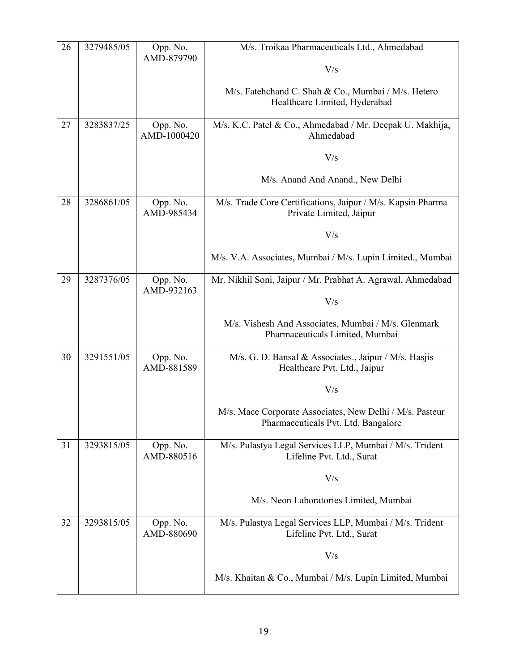| 26 | 3279485/05 | Opp. No.<br>AMD-879790  | M/s. Troikaa Pharmaceuticals Ltd., Ahmedabad                                                    |
|----|------------|-------------------------|-------------------------------------------------------------------------------------------------|
|    |            |                         | V/s                                                                                             |
|    |            |                         | M/s. Fatehchand C. Shah & Co., Mumbai / M/s. Hetero<br>Healthcare Limited, Hyderabad            |
| 27 | 3283837/25 | Opp. No.<br>AMD-1000420 | M/s. K.C. Patel & Co., Ahmedabad / Mr. Deepak U. Makhija,<br>Ahmedabad                          |
|    |            |                         | V/s                                                                                             |
|    |            |                         | M/s. Anand And Anand., New Delhi                                                                |
| 28 | 3286861/05 | Opp. No.<br>AMD-985434  | M/s. Trade Core Certifications, Jaipur / M/s. Kapsin Pharma<br>Private Limited, Jaipur          |
|    |            |                         | V/s                                                                                             |
|    |            |                         | M/s. V.A. Associates, Mumbai / M/s. Lupin Limited., Mumbai                                      |
| 29 | 3287376/05 | Opp. No.<br>AMD-932163  | Mr. Nikhil Soni, Jaipur / Mr. Prabhat A. Agrawal, Ahmedabad                                     |
|    |            |                         | V/s                                                                                             |
|    |            |                         | M/s. Vishesh And Associates, Mumbai / M/s. Glenmark<br>Pharmaceuticals Limited, Mumbai          |
| 30 | 3291551/05 | Opp. No.<br>AMD-881589  | M/s. G. D. Bansal & Associates., Jaipur / M/s. Hasjis<br>Healthcare Pvt. Ltd., Jaipur           |
|    |            |                         | V/s                                                                                             |
|    |            |                         | M/s. Mace Corporate Associates, New Delhi / M/s. Pasteur<br>Pharmaceuticals Pvt. Ltd, Bangalore |
| 31 | 3293815/05 | Opp. No.<br>AMD-880516  | M/s. Pulastya Legal Services LLP, Mumbai / M/s. Trident<br>Lifeline Pvt. Ltd., Surat            |
|    |            |                         | V/s                                                                                             |
|    |            |                         | M/s. Neon Laboratories Limited, Mumbai                                                          |
| 32 | 3293815/05 | Opp. No.<br>AMD-880690  | M/s. Pulastya Legal Services LLP, Mumbai / M/s. Trident<br>Lifeline Pvt. Ltd., Surat            |
|    |            |                         | V/s                                                                                             |
|    |            |                         | M/s. Khaitan & Co., Mumbai / M/s. Lupin Limited, Mumbai                                         |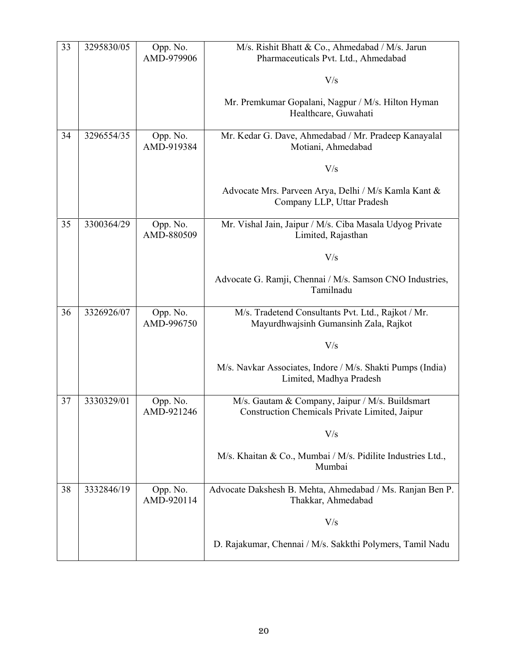| 33 | 3295830/05 | Opp. No.<br>AMD-979906 | M/s. Rishit Bhatt & Co., Ahmedabad / M/s. Jarun<br>Pharmaceuticals Pvt. Ltd., Ahmedabad           |
|----|------------|------------------------|---------------------------------------------------------------------------------------------------|
|    |            |                        | V/s                                                                                               |
|    |            |                        | Mr. Premkumar Gopalani, Nagpur / M/s. Hilton Hyman<br>Healthcare, Guwahati                        |
| 34 | 3296554/35 | Opp. No.<br>AMD-919384 | Mr. Kedar G. Dave, Ahmedabad / Mr. Pradeep Kanayalal<br>Motiani, Ahmedabad                        |
|    |            |                        | V/s                                                                                               |
|    |            |                        | Advocate Mrs. Parveen Arya, Delhi / M/s Kamla Kant &<br>Company LLP, Uttar Pradesh                |
| 35 | 3300364/29 | Opp. No.<br>AMD-880509 | Mr. Vishal Jain, Jaipur / M/s. Ciba Masala Udyog Private<br>Limited, Rajasthan                    |
|    |            |                        | V/s                                                                                               |
|    |            |                        | Advocate G. Ramji, Chennai / M/s. Samson CNO Industries,<br>Tamilnadu                             |
| 36 | 3326926/07 | Opp. No.<br>AMD-996750 | M/s. Tradetend Consultants Pvt. Ltd., Rajkot / Mr.<br>Mayurdhwajsinh Gumansinh Zala, Rajkot       |
|    |            |                        | V/s                                                                                               |
|    |            |                        | M/s. Navkar Associates, Indore / M/s. Shakti Pumps (India)<br>Limited, Madhya Pradesh             |
| 37 | 3330329/01 | Opp. No.<br>AMD-921246 | M/s. Gautam & Company, Jaipur / M/s. Buildsmart<br>Construction Chemicals Private Limited, Jaipur |
|    |            |                        | V/s                                                                                               |
|    |            |                        | M/s. Khaitan & Co., Mumbai / M/s. Pidilite Industries Ltd.,<br>Mumbai                             |
| 38 | 3332846/19 | Opp. No.<br>AMD-920114 | Advocate Dakshesh B. Mehta, Ahmedabad / Ms. Ranjan Ben P.<br>Thakkar, Ahmedabad                   |
|    |            |                        | V/s                                                                                               |
|    |            |                        | D. Rajakumar, Chennai / M/s. Sakkthi Polymers, Tamil Nadu                                         |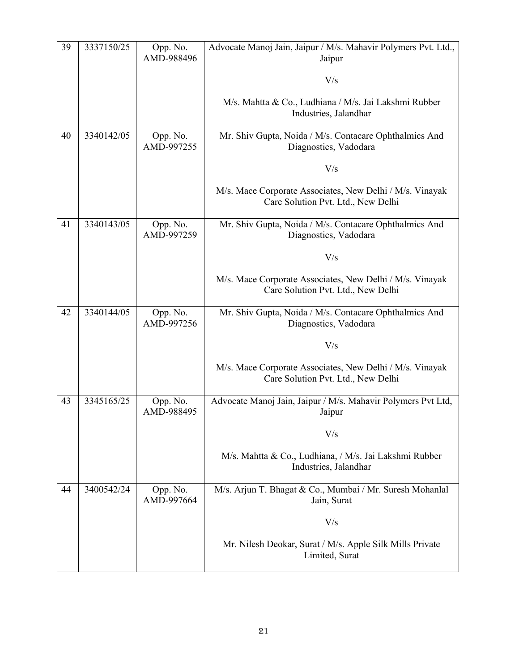| 39 | 3337150/25 | Opp. No.<br>AMD-988496 | Advocate Manoj Jain, Jaipur / M/s. Mahavir Polymers Pvt. Ltd.,<br>Jaipur                       |
|----|------------|------------------------|------------------------------------------------------------------------------------------------|
|    |            |                        | V/s                                                                                            |
|    |            |                        | M/s. Mahtta & Co., Ludhiana / M/s. Jai Lakshmi Rubber<br>Industries, Jalandhar                 |
| 40 | 3340142/05 | Opp. No.<br>AMD-997255 | Mr. Shiv Gupta, Noida / M/s. Contacare Ophthalmics And<br>Diagnostics, Vadodara                |
|    |            |                        | V/s                                                                                            |
|    |            |                        | M/s. Mace Corporate Associates, New Delhi / M/s. Vinayak<br>Care Solution Pvt. Ltd., New Delhi |
| 41 | 3340143/05 | Opp. No.<br>AMD-997259 | Mr. Shiv Gupta, Noida / M/s. Contacare Ophthalmics And<br>Diagnostics, Vadodara                |
|    |            |                        | V/s                                                                                            |
|    |            |                        | M/s. Mace Corporate Associates, New Delhi / M/s. Vinayak<br>Care Solution Pvt. Ltd., New Delhi |
| 42 | 3340144/05 | Opp. No.<br>AMD-997256 | Mr. Shiv Gupta, Noida / M/s. Contacare Ophthalmics And<br>Diagnostics, Vadodara                |
|    |            |                        | V/s                                                                                            |
|    |            |                        | M/s. Mace Corporate Associates, New Delhi / M/s. Vinayak<br>Care Solution Pvt. Ltd., New Delhi |
| 43 | 3345165/25 | Opp. No.<br>AMD-988495 | Advocate Manoj Jain, Jaipur / M/s. Mahavir Polymers Pvt Ltd,<br>Jaipur                         |
|    |            |                        | V/s                                                                                            |
|    |            |                        | M/s. Mahtta & Co., Ludhiana, / M/s. Jai Lakshmi Rubber<br>Industries, Jalandhar                |
| 44 | 3400542/24 | Opp. No.<br>AMD-997664 | M/s. Arjun T. Bhagat & Co., Mumbai / Mr. Suresh Mohanlal<br>Jain, Surat                        |
|    |            |                        | V/s                                                                                            |
|    |            |                        | Mr. Nilesh Deokar, Surat / M/s. Apple Silk Mills Private<br>Limited, Surat                     |